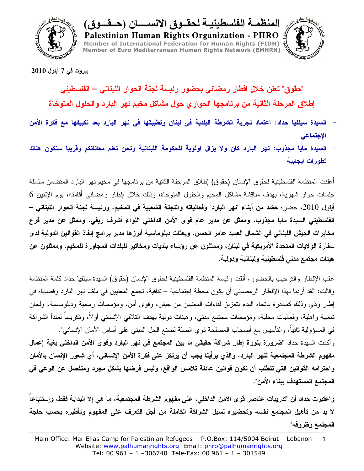

المنظمـــه الفلسطينيـــه لـحقـــوق الإنســــــان (حـــقـــوق)

Palestinian Human Rights Organization - PHRO Member of International Federation for Human Rights (FIDH) Member of Euro Mediterranean Human Rights Network (EMHRN)



بيروت في 7 أيلول 2010

"حقوق" تعلن خلال إفطار رمضاني بحضور رئيسة لجنة الحوار اللبناني – الفلسطيني إطلاق المرحلة الثانية من برنامجها الحوار ى حول مشاكل مخيم نهر البارد والحلول المتوخاة

- السيدة سيلفيا حداد: اعتماد تجربة الشرطة البلدية في لبنان وتطبيقها في نهر البارد بعد تكييفها مع فكرة الأمن الإجتماعي
- السيدة مايا مجذوب: نهر البارد كان ولا يزال اولوية للحكومة اللبنانية ونحن نعلم معاناتكم وقريبا ستكون هناك تطورات ايجابية

أعلنت المنظمة الفلسطينية لحقوق الإنسان (حقوق) إطلاق المرحلة الثانية من برنامجها في مخيم نهر البارد المتضمن سلسلة جلسات حوار شهرية، بهدف مناقشة مشاكل المخيم والحلول المتوخاة، وذلك خلال إفطار رمضاني أقامته، بوم الإثنين 6 أيلول 2010، حضره حشد من أبناء "نهر البارد" وفعالياته واللجنة الشعبية في المخيم، ورئيسة لجنة الحوار اللبناني – الفلسطيني السيدة مايا مجذوب، وممثل عن مدير عام قوى الأمن الداخلي اللواء أشرف ريفي، وممثل عن مدير فرع مخابرات الجيش اللبناني في الشمال العميد عامر الحسن، وبعثات دبلوماسية أبرزها مدير برامج إنفاذ القوانين الدولية لدى سفارة الولايات المتحدة الأمريكية في لبنان، وممثلون عن رؤساء بلديات ومخاتير للبلدات المجاورة للمخيم، وممثلون عن هيئات مجتمع مدنى فلسطينية ولبنانية ودولية.

عقب الإفطار والنرحيب بالحضور، ألقت رئيسة المنظمة الفلسطينية لحقوق الإنسان (حقوق) السيدة سيلفيا حداد كلمة المنظمة وقالت: "لقد أردنا لهذا الإفطار الرمضاني أن يكون محطة إجتماعية – ثقافية، تجمع المعنيين في ملف نهر البارد وقضاياه في إطار ودّي وذلك كمبادرة باتجاه البدء بتعزيز لقاءات المعنيين من جيش، وقوى أمن، ومؤسسات رسمية ودبلوماسية، ولجان شعبية واهلية، وفعاليات محلية، ومؤسسات مجتمع مدنى، وهيئات دولية بهدف التلاقي الإنساني أولاً، وتكريساً لمبدأ الشراكة في المسؤولية ثانياً، والتأسيس مع أصحاب المصلحة ذوي الصلة لصنع الحل المبنى على أساس الأمان الإنساني". وأكدت السيدة حداد "ضرورة بلورة إطار شراكة حقيقى ما بين المجتمع فى نهر البارد وقوى الأمن الداخلى بغية إعمال مفهوم الشرطة المجتمعية لنـهر البارد، والذي برأينـا يجب أن يرتكز على فكرة الأمن الإنسانـي، أي شعور الإنسان بالأمان واحترامه القوانين التي تتطلب أن تكون قوانين عادلة تلامس الواقع، وليس فرضها بشكل مجرد ومنفصل عن الوعي في المجتمع المستهدف ببناء الأمن".

واعتبرت حداد أن "تدريبات عناصر قوى الأمن الداخلي، على مفهوم الشرطة المجتمعية، ما هي إلا البداية فقط، وإستتباعا لا بد من تأهيل المجتمع نفسه وتحضيره لسبل الشراكة الكاملة من أجل التعرف على المفهوم وتأطيره بحسب حاجة المجتمع وظروفه".